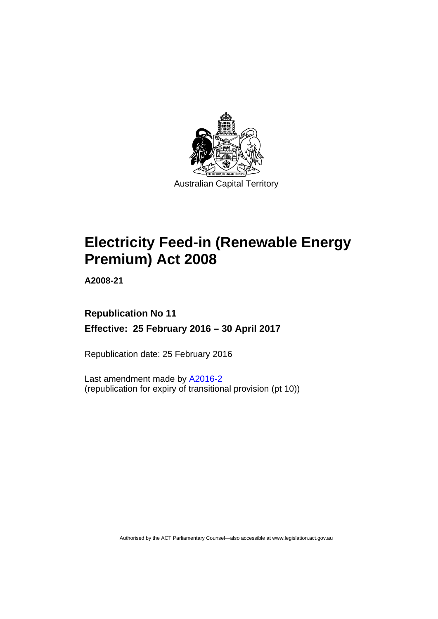

# **Electricity Feed-in (Renewable Energy Premium) Act 2008**

**A2008-21** 

# **Republication No 11 Effective: 25 February 2016 – 30 April 2017**

Republication date: 25 February 2016

Last amendment made by [A2016-2](http://www.legislation.act.gov.au/a/2016-2) (republication for expiry of transitional provision (pt 10))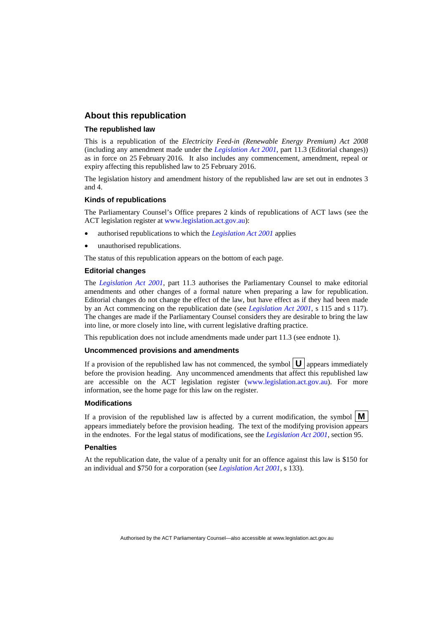### **About this republication**

#### **The republished law**

This is a republication of the *Electricity Feed-in (Renewable Energy Premium) Act 2008* (including any amendment made under the *[Legislation Act 2001](http://www.legislation.act.gov.au/a/2001-14)*, part 11.3 (Editorial changes)) as in force on 25 February 2016*.* It also includes any commencement, amendment, repeal or expiry affecting this republished law to 25 February 2016.

The legislation history and amendment history of the republished law are set out in endnotes 3 and 4.

#### **Kinds of republications**

The Parliamentary Counsel's Office prepares 2 kinds of republications of ACT laws (see the ACT legislation register at [www.legislation.act.gov.au](http://www.legislation.act.gov.au/)):

- authorised republications to which the *[Legislation Act 2001](http://www.legislation.act.gov.au/a/2001-14)* applies
- unauthorised republications.

The status of this republication appears on the bottom of each page.

#### **Editorial changes**

The *[Legislation Act 2001](http://www.legislation.act.gov.au/a/2001-14)*, part 11.3 authorises the Parliamentary Counsel to make editorial amendments and other changes of a formal nature when preparing a law for republication. Editorial changes do not change the effect of the law, but have effect as if they had been made by an Act commencing on the republication date (see *[Legislation Act 2001](http://www.legislation.act.gov.au/a/2001-14)*, s 115 and s 117). The changes are made if the Parliamentary Counsel considers they are desirable to bring the law into line, or more closely into line, with current legislative drafting practice.

This republication does not include amendments made under part 11.3 (see endnote 1).

#### **Uncommenced provisions and amendments**

If a provision of the republished law has not commenced, the symbol  $\mathbf{U}$  appears immediately before the provision heading. Any uncommenced amendments that affect this republished law are accessible on the ACT legislation register [\(www.legislation.act.gov.au\)](http://www.legislation.act.gov.au/). For more information, see the home page for this law on the register.

#### **Modifications**

If a provision of the republished law is affected by a current modification, the symbol  $\mathbf{M}$ appears immediately before the provision heading. The text of the modifying provision appears in the endnotes. For the legal status of modifications, see the *[Legislation Act 2001](http://www.legislation.act.gov.au/a/2001-14)*, section 95.

#### **Penalties**

At the republication date, the value of a penalty unit for an offence against this law is \$150 for an individual and \$750 for a corporation (see *[Legislation Act 2001](http://www.legislation.act.gov.au/a/2001-14)*, s 133).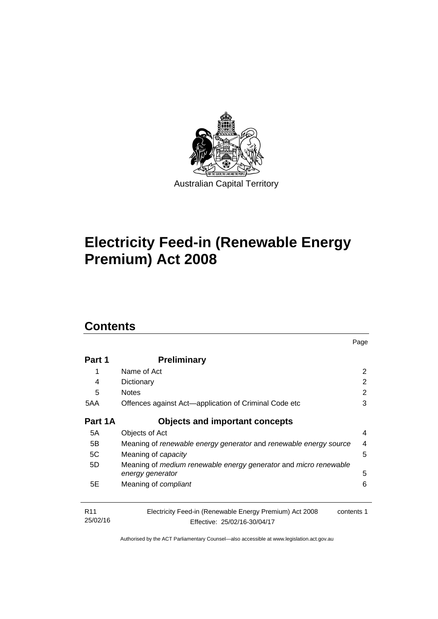

# **Electricity Feed-in (Renewable Energy Premium) Act 2008**

# **Contents**

| Part 1                      | <b>Preliminary</b>                                                                                    |   |
|-----------------------------|-------------------------------------------------------------------------------------------------------|---|
| 1                           | Name of Act                                                                                           | 2 |
| 4                           | Dictionary                                                                                            | 2 |
| 5                           | <b>Notes</b>                                                                                          | 2 |
| 5AA                         | Offences against Act—application of Criminal Code etc                                                 |   |
| Part 1A                     | <b>Objects and important concepts</b>                                                                 |   |
| 5A                          | Objects of Act                                                                                        | 4 |
| 5B                          | Meaning of renewable energy generator and renewable energy source                                     | 4 |
| 5C                          | Meaning of <i>capacity</i>                                                                            | 5 |
| 5D                          | Meaning of medium renewable energy generator and micro renewable                                      |   |
|                             | energy generator                                                                                      | 5 |
| 5E                          | Meaning of <i>compliant</i>                                                                           | 6 |
| R <sub>11</sub><br>25/02/16 | Electricity Feed-in (Renewable Energy Premium) Act 2008<br>contents 1<br>Effective: 25/02/16-30/04/17 |   |

Page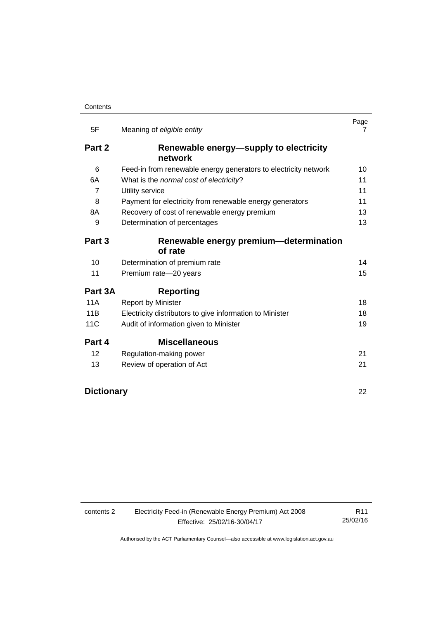| 5F                | Meaning of eligible entity                                      | Page<br>7 |  |
|-------------------|-----------------------------------------------------------------|-----------|--|
| Part 2            | Renewable energy-supply to electricity<br>network               |           |  |
| 6                 | Feed-in from renewable energy generators to electricity network | 10        |  |
| 6A                | What is the normal cost of electricity?                         | 11        |  |
| 7                 | Utility service                                                 |           |  |
| 8                 | Payment for electricity from renewable energy generators        | 11        |  |
| 8A                | Recovery of cost of renewable energy premium                    | 13        |  |
| 9                 | Determination of percentages                                    | 13        |  |
| Part 3            | Renewable energy premium-determination<br>of rate               |           |  |
|                   |                                                                 |           |  |
| 10                | Determination of premium rate                                   | 14        |  |
| 11                | Premium rate-20 years                                           | 15        |  |
| Part 3A           | <b>Reporting</b>                                                |           |  |
| 11A               | <b>Report by Minister</b>                                       | 18        |  |
| 11B               | Electricity distributors to give information to Minister        | 18        |  |
| 11C               | Audit of information given to Minister                          | 19        |  |
| Part 4            | <b>Miscellaneous</b>                                            |           |  |
| 12                | Regulation-making power                                         | 21        |  |
| 13                | Review of operation of Act                                      | 21        |  |
| <b>Dictionary</b> |                                                                 | 22        |  |

contents 2 Electricity Feed-in (Renewable Energy Premium) Act 2008 Effective: 25/02/16-30/04/17

R11 25/02/16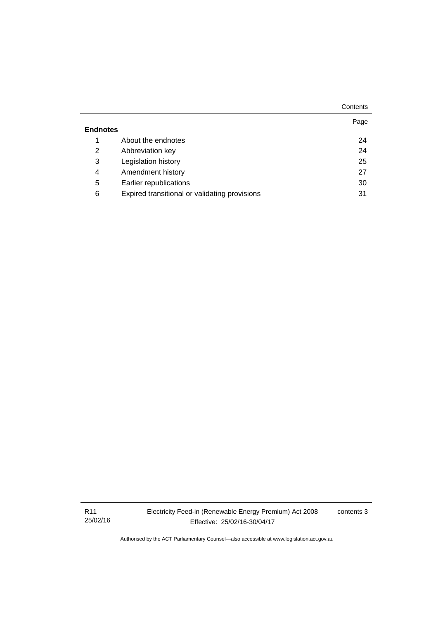|                 |                                               | Contents |
|-----------------|-----------------------------------------------|----------|
| <b>Endnotes</b> |                                               | Page     |
|                 |                                               |          |
| 1               | About the endnotes                            | 24       |
| 2               | Abbreviation key                              | 24       |
| 3               | Legislation history                           | 25       |
| 4               | Amendment history                             | 27       |
| 5               | Earlier republications                        | 30       |
| 6               | Expired transitional or validating provisions | 31       |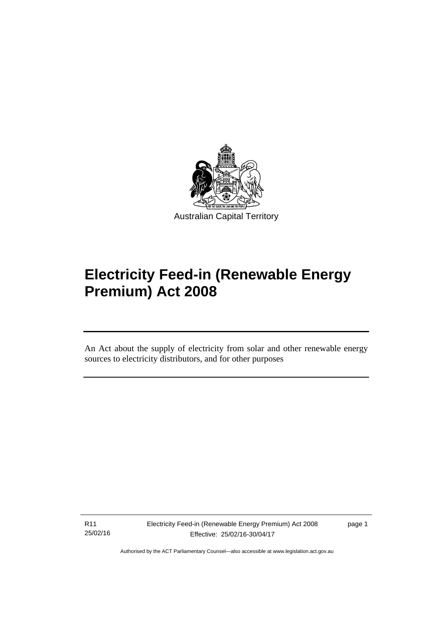

# **Electricity Feed-in (Renewable Energy Premium) Act 2008**

An Act about the supply of electricity from solar and other renewable energy sources to electricity distributors, and for other purposes

R11 25/02/16

l

page 1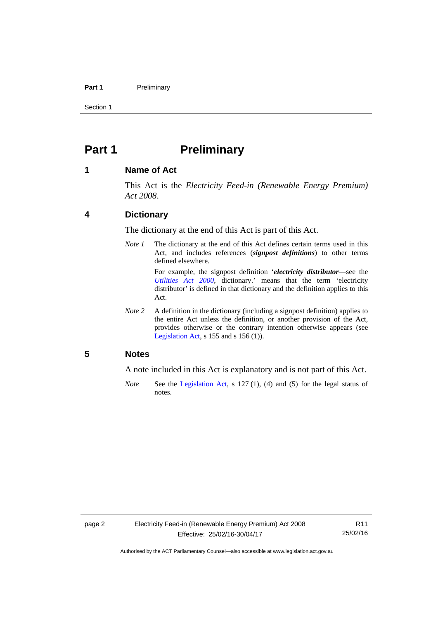#### Part 1 **Preliminary**

Section 1

# <span id="page-7-0"></span>**Part 1** Preliminary

### <span id="page-7-1"></span>**1 Name of Act**

This Act is the *Electricity Feed-in (Renewable Energy Premium) Act 2008*.

### <span id="page-7-2"></span>**4 Dictionary**

The dictionary at the end of this Act is part of this Act.

*Note 1* The dictionary at the end of this Act defines certain terms used in this Act, and includes references (*signpost definitions*) to other terms defined elsewhere.

> For example, the signpost definition '*electricity distributor*—see the *[Utilities Act 2000](http://www.legislation.act.gov.au/a/2000-65)*, dictionary.' means that the term 'electricity distributor' is defined in that dictionary and the definition applies to this Act.

*Note 2* A definition in the dictionary (including a signpost definition) applies to the entire Act unless the definition, or another provision of the Act, provides otherwise or the contrary intention otherwise appears (see [Legislation Act,](http://www.legislation.act.gov.au/a/2001-14) s  $155$  and s  $156$  (1)).

### <span id="page-7-3"></span>**5 Notes**

A note included in this Act is explanatory and is not part of this Act.

*Note* See the [Legislation Act,](http://www.legislation.act.gov.au/a/2001-14) s 127 (1), (4) and (5) for the legal status of notes.

R11 25/02/16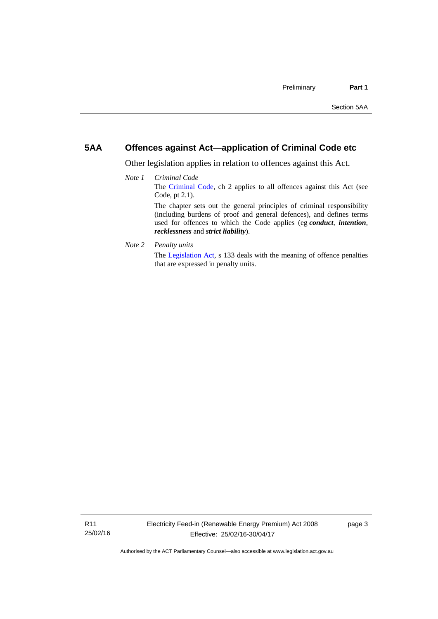# <span id="page-8-0"></span>**5AA Offences against Act—application of Criminal Code etc**

Other legislation applies in relation to offences against this Act.

- *Note 1 Criminal Code* The [Criminal Code](http://www.legislation.act.gov.au/a/2002-51), ch 2 applies to all offences against this Act (see Code, pt 2.1). The chapter sets out the general principles of criminal responsibility (including burdens of proof and general defences), and defines terms used for offences to which the Code applies (eg *conduct*, *intention*, *recklessness* and *strict liability*).
- *Note 2 Penalty units*

The [Legislation Act](http://www.legislation.act.gov.au/a/2001-14), s 133 deals with the meaning of offence penalties that are expressed in penalty units.

page 3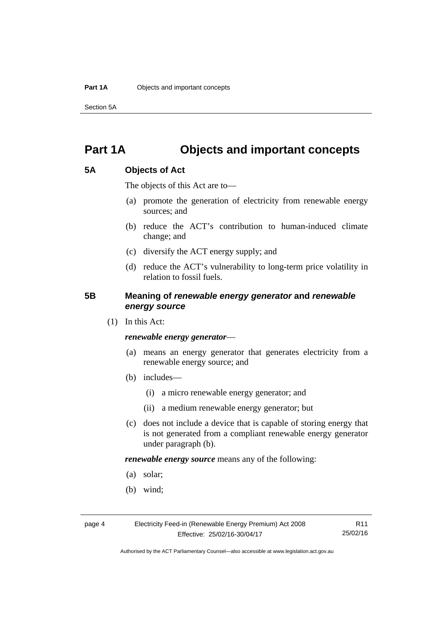Section 5A

# <span id="page-9-0"></span>**Part 1A Objects and important concepts**

# <span id="page-9-1"></span>**5A Objects of Act**

The objects of this Act are to—

- (a) promote the generation of electricity from renewable energy sources; and
- (b) reduce the ACT's contribution to human-induced climate change; and
- (c) diversify the ACT energy supply; and
- (d) reduce the ACT's vulnerability to long-term price volatility in relation to fossil fuels.

# <span id="page-9-2"></span>**5B Meaning of** *renewable energy generator* **and** *renewable energy source*

(1) In this Act:

### *renewable energy generator*—

- (a) means an energy generator that generates electricity from a renewable energy source; and
- (b) includes—
	- (i) a micro renewable energy generator; and
	- (ii) a medium renewable energy generator; but
- (c) does not include a device that is capable of storing energy that is not generated from a compliant renewable energy generator under paragraph (b).

*renewable energy source* means any of the following:

- (a) solar;
- (b) wind;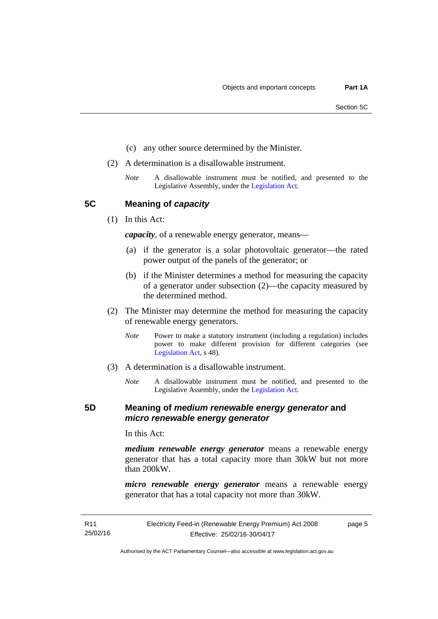- (c) any other source determined by the Minister.
- (2) A determination is a disallowable instrument.
	- *Note* A disallowable instrument must be notified, and presented to the Legislative Assembly, under the [Legislation Act.](http://www.legislation.act.gov.au/a/2001-14)

<span id="page-10-0"></span>**5C Meaning of** *capacity*

(1) In this Act:

*capacity*, of a renewable energy generator, means—

- (a) if the generator is a solar photovoltaic generator—the rated power output of the panels of the generator; or
- (b) if the Minister determines a method for measuring the capacity of a generator under subsection (2)—the capacity measured by the determined method.
- (2) The Minister may determine the method for measuring the capacity of renewable energy generators.
	- *Note* Power to make a statutory instrument (including a regulation) includes power to make different provision for different categories (see [Legislation Act,](http://www.legislation.act.gov.au/a/2001-14) s 48).
- (3) A determination is a disallowable instrument.
	- *Note* A disallowable instrument must be notified, and presented to the Legislative Assembly, under the [Legislation Act.](http://www.legislation.act.gov.au/a/2001-14)

## <span id="page-10-1"></span>**5D Meaning of** *medium renewable energy generator* **and**  *micro renewable energy generator*

In this Act:

*medium renewable energy generator* means a renewable energy generator that has a total capacity more than 30kW but not more than 200kW.

*micro renewable energy generator* means a renewable energy generator that has a total capacity not more than 30kW.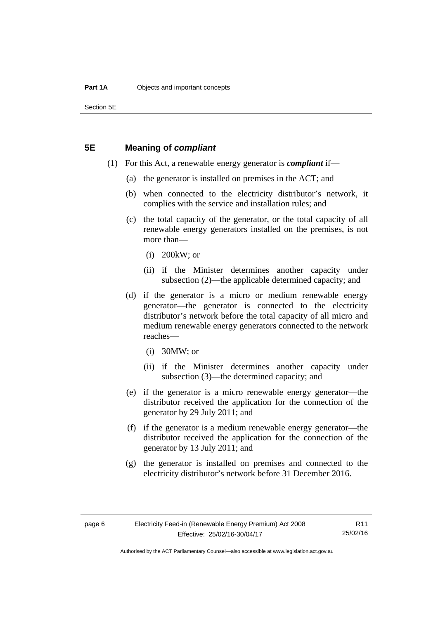Section 5E

## <span id="page-11-0"></span>**5E Meaning of** *compliant*

- (1) For this Act, a renewable energy generator is *compliant* if—
	- (a) the generator is installed on premises in the ACT; and
	- (b) when connected to the electricity distributor's network, it complies with the service and installation rules; and
	- (c) the total capacity of the generator, or the total capacity of all renewable energy generators installed on the premises, is not more than—
		- (i) 200kW; or
		- (ii) if the Minister determines another capacity under subsection (2)—the applicable determined capacity; and
	- (d) if the generator is a micro or medium renewable energy generator—the generator is connected to the electricity distributor's network before the total capacity of all micro and medium renewable energy generators connected to the network reaches—
		- (i) 30MW; or
		- (ii) if the Minister determines another capacity under subsection (3)—the determined capacity; and
	- (e) if the generator is a micro renewable energy generator—the distributor received the application for the connection of the generator by 29 July 2011; and
	- (f) if the generator is a medium renewable energy generator—the distributor received the application for the connection of the generator by 13 July 2011; and
	- (g) the generator is installed on premises and connected to the electricity distributor's network before 31 December 2016.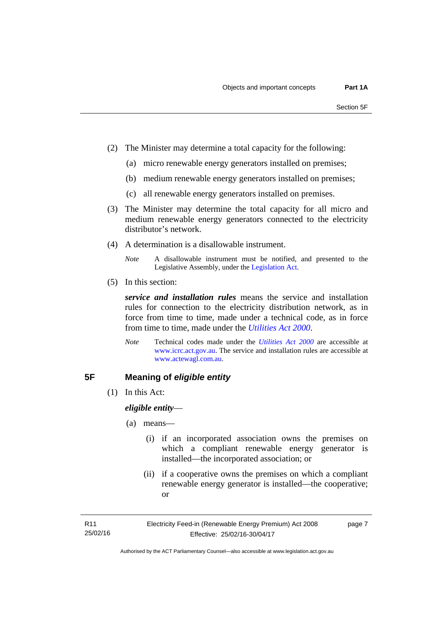- (2) The Minister may determine a total capacity for the following:
	- (a) micro renewable energy generators installed on premises;
	- (b) medium renewable energy generators installed on premises;
	- (c) all renewable energy generators installed on premises.
- (3) The Minister may determine the total capacity for all micro and medium renewable energy generators connected to the electricity distributor's network.
- (4) A determination is a disallowable instrument.
	- *Note* A disallowable instrument must be notified, and presented to the Legislative Assembly, under the [Legislation Act.](http://www.legislation.act.gov.au/a/2001-14)
- (5) In this section:

*service and installation rules* means the service and installation rules for connection to the electricity distribution network, as in force from time to time, made under a technical code, as in force from time to time, made under the *[Utilities Act 2000](http://www.legislation.act.gov.au/a/2000-65)*.

*Note* Technical codes made under the *[Utilities Act 2000](http://www.legislation.act.gov.au/a/2000-65)* are accessible at [www.icrc.act.gov.au.](http://www.icrc.act.gov.au/) The service and installation rules are accessible at [www.actewagl.com.au](http://www.actewagl.com.au/).

# <span id="page-12-0"></span>**5F Meaning of** *eligible entity*

(1) In this Act:

*eligible entity*—

- (a) means—
	- (i) if an incorporated association owns the premises on which a compliant renewable energy generator is installed—the incorporated association; or
	- (ii) if a cooperative owns the premises on which a compliant renewable energy generator is installed—the cooperative; or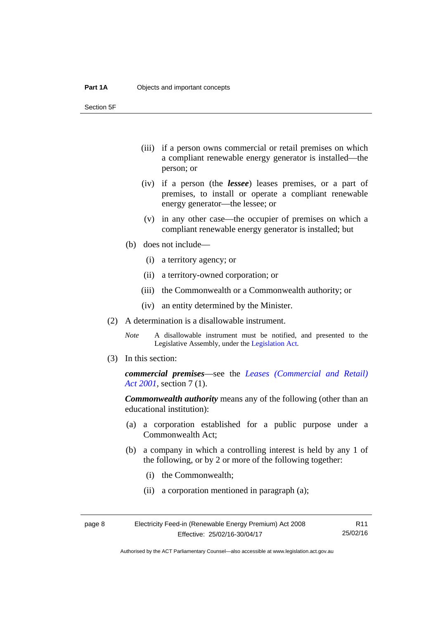Section 5F

- (iii) if a person owns commercial or retail premises on which a compliant renewable energy generator is installed—the person; or
- (iv) if a person (the *lessee*) leases premises, or a part of premises, to install or operate a compliant renewable energy generator—the lessee; or
- (v) in any other case—the occupier of premises on which a compliant renewable energy generator is installed; but
- (b) does not include—
	- (i) a territory agency; or
	- (ii) a territory-owned corporation; or
	- (iii) the Commonwealth or a Commonwealth authority; or
	- (iv) an entity determined by the Minister.
- (2) A determination is a disallowable instrument.
	- *Note* A disallowable instrument must be notified, and presented to the Legislative Assembly, under the [Legislation Act.](http://www.legislation.act.gov.au/a/2001-14)
- (3) In this section:

*commercial premises*—see the *[Leases \(Commercial and Retail\)](http://www.legislation.act.gov.au/a/2001-18)  [Act 2001](http://www.legislation.act.gov.au/a/2001-18)*, section 7 (1).

*Commonwealth authority* means any of the following (other than an educational institution):

- (a) a corporation established for a public purpose under a Commonwealth Act;
- (b) a company in which a controlling interest is held by any 1 of the following, or by 2 or more of the following together:
	- (i) the Commonwealth;
	- (ii) a corporation mentioned in paragraph (a);

| page 8 | Electricity Feed-in (Renewable Energy Premium) Act 2008 | R11      |
|--------|---------------------------------------------------------|----------|
|        | Effective: 25/02/16-30/04/17                            | 25/02/16 |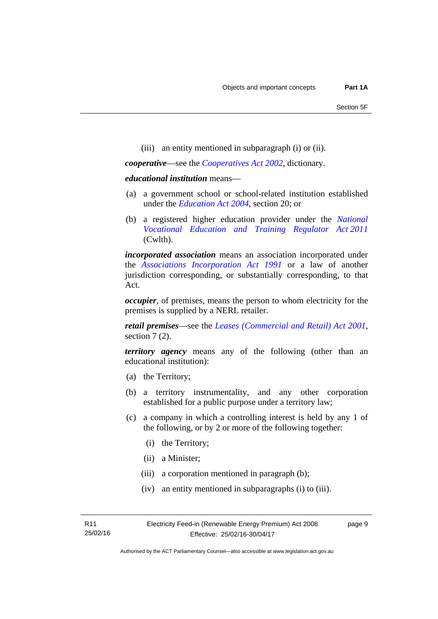(iii) an entity mentioned in subparagraph (i) or (ii).

*cooperative*—see the *[Cooperatives Act 2002](http://www.legislation.act.gov.au/a/2002-45)*, dictionary.

#### *educational institution* means—

- (a) a government school or school-related institution established under the *[Education Act 2004](http://www.legislation.act.gov.au/a/2004-17)*, section 20; or
- (b) a registered higher education provider under the *[National](http://www.comlaw.gov.au/Series/C2011A00012)  [Vocational Education and Training Regulator Act 2011](http://www.comlaw.gov.au/Series/C2011A00012)* (Cwlth).

*incorporated association* means an association incorporated under the *[Associations Incorporation Act 1991](http://www.legislation.act.gov.au/a/1991-46)* or a law of another jurisdiction corresponding, or substantially corresponding, to that Act.

*occupier*, of premises, means the person to whom electricity for the premises is supplied by a NERL retailer.

*retail premises*—see the *[Leases \(Commercial and Retail\) Act 2001](http://www.legislation.act.gov.au/a/2001-18)*, section 7(2).

*territory agency* means any of the following (other than an educational institution):

- (a) the Territory;
- (b) a territory instrumentality, and any other corporation established for a public purpose under a territory law;
- (c) a company in which a controlling interest is held by any 1 of the following, or by 2 or more of the following together:
	- (i) the Territory;
	- (ii) a Minister;
	- (iii) a corporation mentioned in paragraph (b);
	- (iv) an entity mentioned in subparagraphs (i) to (iii).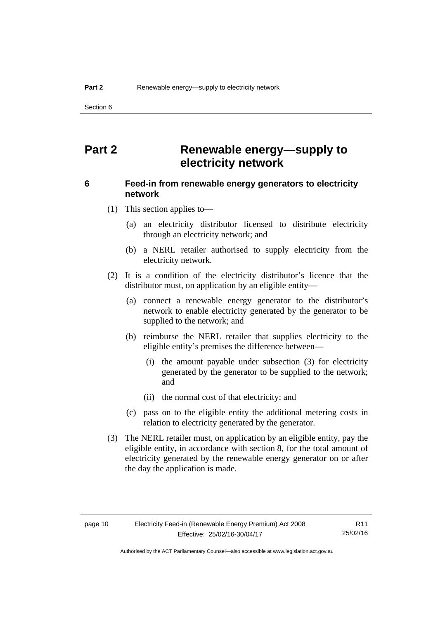Section 6

# <span id="page-15-0"></span>**Part 2 Renewable energy—supply to electricity network**

# <span id="page-15-1"></span>**6 Feed-in from renewable energy generators to electricity network**

(1) This section applies to—

- (a) an electricity distributor licensed to distribute electricity through an electricity network; and
- (b) a NERL retailer authorised to supply electricity from the electricity network.
- (2) It is a condition of the electricity distributor's licence that the distributor must, on application by an eligible entity—
	- (a) connect a renewable energy generator to the distributor's network to enable electricity generated by the generator to be supplied to the network; and
	- (b) reimburse the NERL retailer that supplies electricity to the eligible entity's premises the difference between—
		- (i) the amount payable under subsection (3) for electricity generated by the generator to be supplied to the network; and
		- (ii) the normal cost of that electricity; and
	- (c) pass on to the eligible entity the additional metering costs in relation to electricity generated by the generator.
- (3) The NERL retailer must, on application by an eligible entity, pay the eligible entity, in accordance with section 8, for the total amount of electricity generated by the renewable energy generator on or after the day the application is made.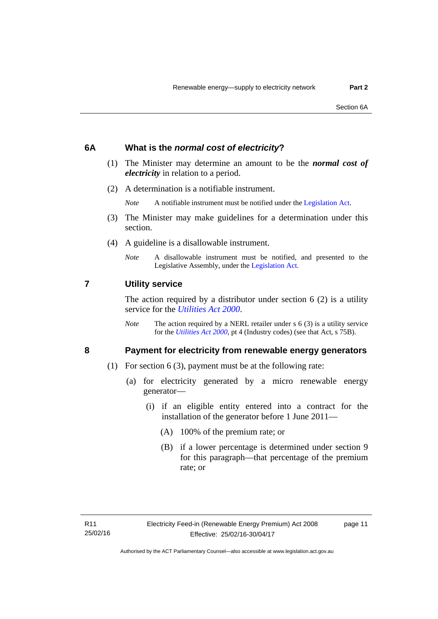### <span id="page-16-0"></span>**6A What is the** *normal cost of electricity***?**

- (1) The Minister may determine an amount to be the *normal cost of electricity* in relation to a period.
- (2) A determination is a notifiable instrument.

*Note* A notifiable instrument must be notified under the [Legislation Act](http://www.legislation.act.gov.au/a/2001-14).

- (3) The Minister may make guidelines for a determination under this section.
- (4) A guideline is a disallowable instrument.
	- *Note* A disallowable instrument must be notified, and presented to the Legislative Assembly, under the [Legislation Act.](http://www.legislation.act.gov.au/a/2001-14)

### <span id="page-16-1"></span>**7 Utility service**

The action required by a distributor under section  $6(2)$  is a utility service for the *[Utilities Act 2000](http://www.legislation.act.gov.au/a/2000-65)*.

*Note* The action required by a NERL retailer under s 6 (3) is a utility service for the *[Utilities Act 2000](http://www.legislation.act.gov.au/a/2000-65)*, pt 4 (Industry codes) (see that Act, s 75B).

# <span id="page-16-2"></span>**8 Payment for electricity from renewable energy generators**

- (1) For section 6 (3), payment must be at the following rate:
	- (a) for electricity generated by a micro renewable energy generator—
		- (i) if an eligible entity entered into a contract for the installation of the generator before 1 June 2011—
			- (A) 100% of the premium rate; or
			- (B) if a lower percentage is determined under section 9 for this paragraph—that percentage of the premium rate; or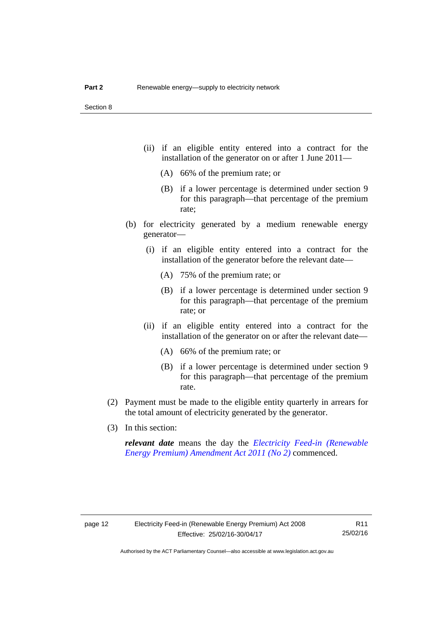- (ii) if an eligible entity entered into a contract for the installation of the generator on or after 1 June 2011—
	- (A) 66% of the premium rate; or
	- (B) if a lower percentage is determined under section 9 for this paragraph—that percentage of the premium rate;
- (b) for electricity generated by a medium renewable energy generator—
	- (i) if an eligible entity entered into a contract for the installation of the generator before the relevant date—
		- (A) 75% of the premium rate; or
		- (B) if a lower percentage is determined under section 9 for this paragraph—that percentage of the premium rate; or
	- (ii) if an eligible entity entered into a contract for the installation of the generator on or after the relevant date—
		- (A) 66% of the premium rate; or
		- (B) if a lower percentage is determined under section 9 for this paragraph—that percentage of the premium rate.
- (2) Payment must be made to the eligible entity quarterly in arrears for the total amount of electricity generated by the generator.
- (3) In this section:

*relevant date* means the day the *[Electricity Feed-in \(Renewable](http://www.legislation.act.gov.au/a/2011-25)  [Energy Premium\) Amendment Act 2011 \(No 2\)](http://www.legislation.act.gov.au/a/2011-25)* commenced.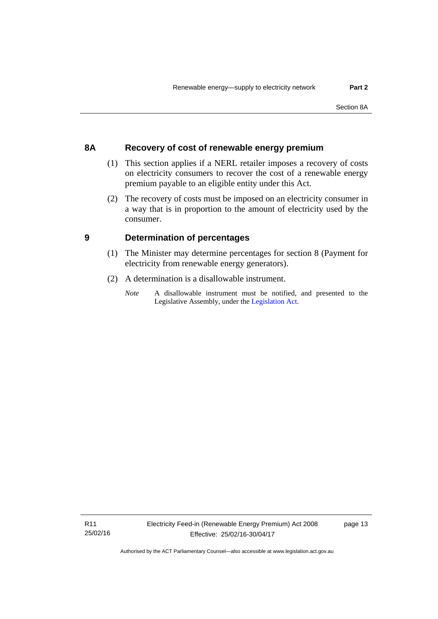# <span id="page-18-0"></span>**8A Recovery of cost of renewable energy premium**

- (1) This section applies if a NERL retailer imposes a recovery of costs on electricity consumers to recover the cost of a renewable energy premium payable to an eligible entity under this Act.
- (2) The recovery of costs must be imposed on an electricity consumer in a way that is in proportion to the amount of electricity used by the consumer.

# <span id="page-18-1"></span>**9 Determination of percentages**

- (1) The Minister may determine percentages for section 8 (Payment for electricity from renewable energy generators).
- (2) A determination is a disallowable instrument.
	- *Note* A disallowable instrument must be notified, and presented to the Legislative Assembly, under the [Legislation Act.](http://www.legislation.act.gov.au/a/2001-14)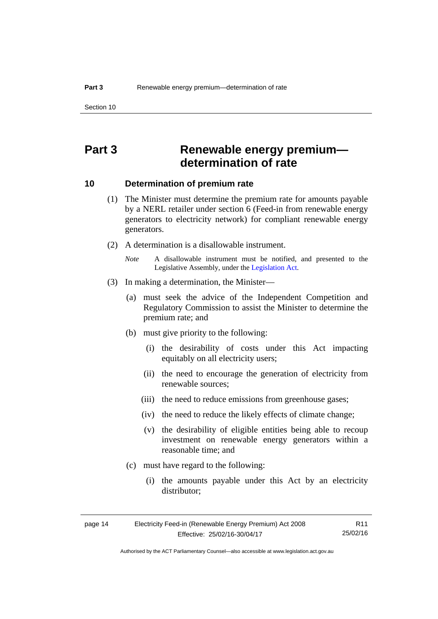# <span id="page-19-0"></span>**Part 3 Renewable energy premium determination of rate**

## <span id="page-19-1"></span>**10 Determination of premium rate**

- (1) The Minister must determine the premium rate for amounts payable by a NERL retailer under section 6 (Feed-in from renewable energy generators to electricity network) for compliant renewable energy generators.
- (2) A determination is a disallowable instrument.
	- *Note* A disallowable instrument must be notified, and presented to the Legislative Assembly, under the [Legislation Act.](http://www.legislation.act.gov.au/a/2001-14)
- (3) In making a determination, the Minister—
	- (a) must seek the advice of the Independent Competition and Regulatory Commission to assist the Minister to determine the premium rate; and
	- (b) must give priority to the following:
		- (i) the desirability of costs under this Act impacting equitably on all electricity users;
		- (ii) the need to encourage the generation of electricity from renewable sources;
		- (iii) the need to reduce emissions from greenhouse gases;
		- (iv) the need to reduce the likely effects of climate change;
		- (v) the desirability of eligible entities being able to recoup investment on renewable energy generators within a reasonable time; and
	- (c) must have regard to the following:
		- (i) the amounts payable under this Act by an electricity distributor;

| page 14 | Electricity Feed-in (Renewable Energy Premium) Act 2008 | R11      |
|---------|---------------------------------------------------------|----------|
|         | Effective: 25/02/16-30/04/17                            | 25/02/16 |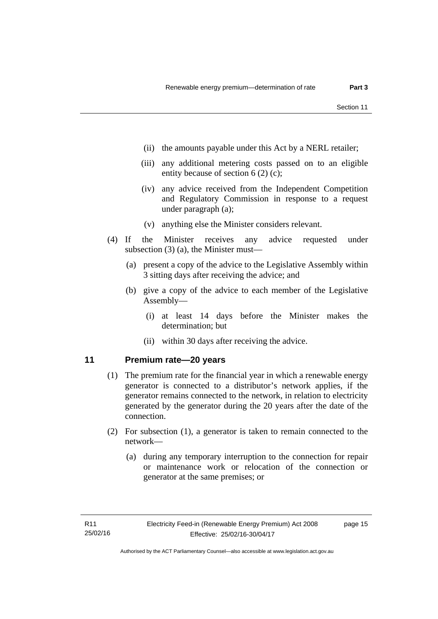- (ii) the amounts payable under this Act by a NERL retailer;
- (iii) any additional metering costs passed on to an eligible entity because of section 6 (2) (c);
- (iv) any advice received from the Independent Competition and Regulatory Commission in response to a request under paragraph (a);
- (v) anything else the Minister considers relevant.
- (4) If the Minister receives any advice requested under subsection (3) (a), the Minister must—
	- (a) present a copy of the advice to the Legislative Assembly within 3 sitting days after receiving the advice; and
	- (b) give a copy of the advice to each member of the Legislative Assembly—
		- (i) at least 14 days before the Minister makes the determination; but
		- (ii) within 30 days after receiving the advice.

# <span id="page-20-0"></span>**11 Premium rate—20 years**

- (1) The premium rate for the financial year in which a renewable energy generator is connected to a distributor's network applies, if the generator remains connected to the network, in relation to electricity generated by the generator during the 20 years after the date of the connection.
- (2) For subsection (1), a generator is taken to remain connected to the network—
	- (a) during any temporary interruption to the connection for repair or maintenance work or relocation of the connection or generator at the same premises; or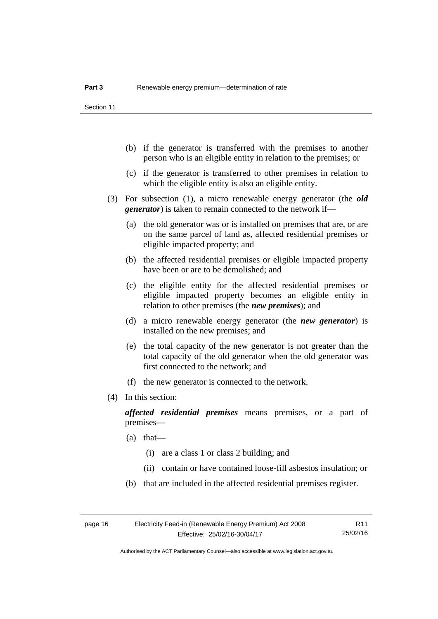- (b) if the generator is transferred with the premises to another person who is an eligible entity in relation to the premises; or
- (c) if the generator is transferred to other premises in relation to which the eligible entity is also an eligible entity.
- (3) For subsection (1), a micro renewable energy generator (the *old generator*) is taken to remain connected to the network if—
	- (a) the old generator was or is installed on premises that are, or are on the same parcel of land as, affected residential premises or eligible impacted property; and
	- (b) the affected residential premises or eligible impacted property have been or are to be demolished; and
	- (c) the eligible entity for the affected residential premises or eligible impacted property becomes an eligible entity in relation to other premises (the *new premises*); and
	- (d) a micro renewable energy generator (the *new generator*) is installed on the new premises; and
	- (e) the total capacity of the new generator is not greater than the total capacity of the old generator when the old generator was first connected to the network; and
	- (f) the new generator is connected to the network.
- (4) In this section:

*affected residential premises* means premises, or a part of premises—

- (a) that—
	- (i) are a class 1 or class 2 building; and
	- (ii) contain or have contained loose-fill asbestos insulation; or
- (b) that are included in the affected residential premises register.

Authorised by the ACT Parliamentary Counsel—also accessible at www.legislation.act.gov.au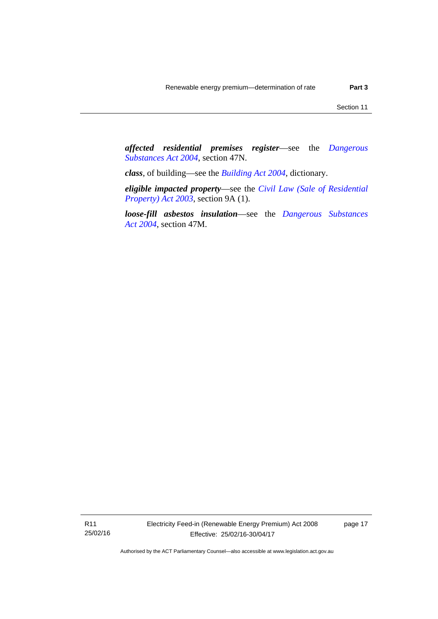*affected residential premises register*—see the *[Dangerous](http://www.legislation.act.gov.au/a/2004-7)  [Substances Act 2004](http://www.legislation.act.gov.au/a/2004-7)*, section 47N.

*class*, of building—see the *[Building Act 2004](http://www.legislation.act.gov.au/a/2004-11)*, dictionary.

*eligible impacted property*—see the *[Civil Law \(Sale of Residential](http://www.legislation.act.gov.au/a/2003-40)  [Property\) Act 2003](http://www.legislation.act.gov.au/a/2003-40)*, section 9A (1).

*loose-fill asbestos insulation*—see the *[Dangerous Substances](http://www.legislation.act.gov.au/a/2004-7)  [Act 2004](http://www.legislation.act.gov.au/a/2004-7)*, section 47M.

R11 25/02/16 page 17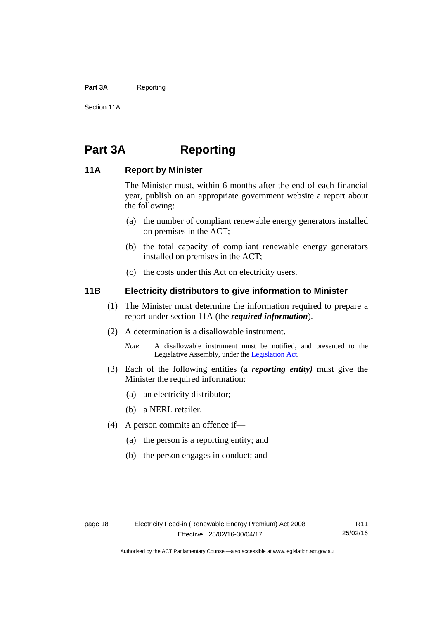#### Part 3A Reporting

Section 11A

# <span id="page-23-0"></span>**Part 3A Reporting**

# <span id="page-23-1"></span>**11A Report by Minister**

The Minister must, within 6 months after the end of each financial year, publish on an appropriate government website a report about the following:

- (a) the number of compliant renewable energy generators installed on premises in the ACT;
- (b) the total capacity of compliant renewable energy generators installed on premises in the ACT;
- (c) the costs under this Act on electricity users.

# <span id="page-23-2"></span>**11B Electricity distributors to give information to Minister**

- (1) The Minister must determine the information required to prepare a report under section 11A (the *required information*).
- (2) A determination is a disallowable instrument.
	- *Note* A disallowable instrument must be notified, and presented to the Legislative Assembly, under the [Legislation Act.](http://www.legislation.act.gov.au/a/2001-14)
- (3) Each of the following entities (a *reporting entity)* must give the Minister the required information:
	- (a) an electricity distributor;
	- (b) a NERL retailer.
- (4) A person commits an offence if—
	- (a) the person is a reporting entity; and
	- (b) the person engages in conduct; and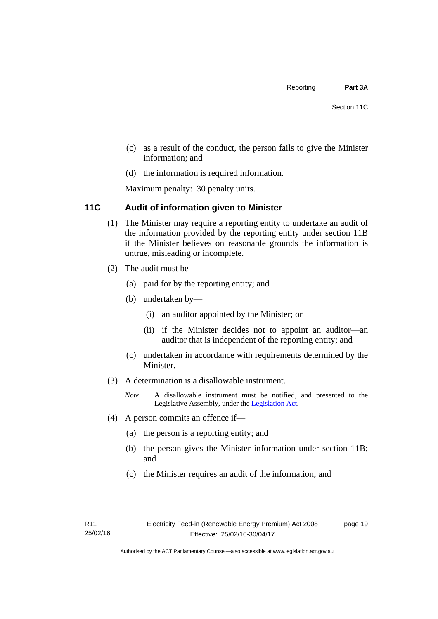- (c) as a result of the conduct, the person fails to give the Minister information; and
- (d) the information is required information.

Maximum penalty: 30 penalty units.

# <span id="page-24-0"></span>**11C Audit of information given to Minister**

- (1) The Minister may require a reporting entity to undertake an audit of the information provided by the reporting entity under section 11B if the Minister believes on reasonable grounds the information is untrue, misleading or incomplete.
- (2) The audit must be—
	- (a) paid for by the reporting entity; and
	- (b) undertaken by—
		- (i) an auditor appointed by the Minister; or
		- (ii) if the Minister decides not to appoint an auditor—an auditor that is independent of the reporting entity; and
	- (c) undertaken in accordance with requirements determined by the Minister.
- (3) A determination is a disallowable instrument.
	- *Note* A disallowable instrument must be notified, and presented to the Legislative Assembly, under the [Legislation Act.](http://www.legislation.act.gov.au/a/2001-14)
- (4) A person commits an offence if—
	- (a) the person is a reporting entity; and
	- (b) the person gives the Minister information under section 11B; and
	- (c) the Minister requires an audit of the information; and

page 19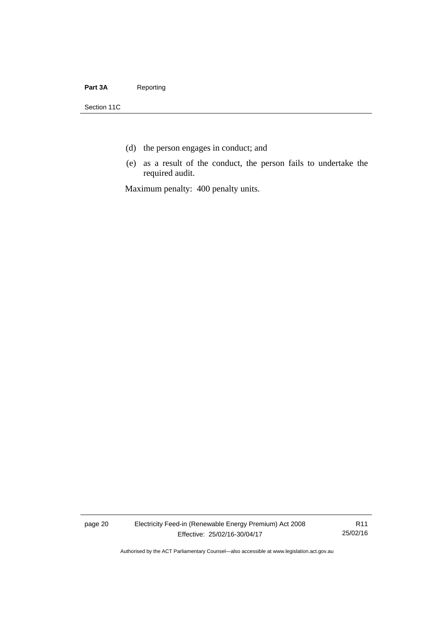### Part 3A Reporting

Section 11C

- (d) the person engages in conduct; and
- (e) as a result of the conduct, the person fails to undertake the required audit.

Maximum penalty: 400 penalty units.

page 20 Electricity Feed-in (Renewable Energy Premium) Act 2008 Effective: 25/02/16-30/04/17

R11 25/02/16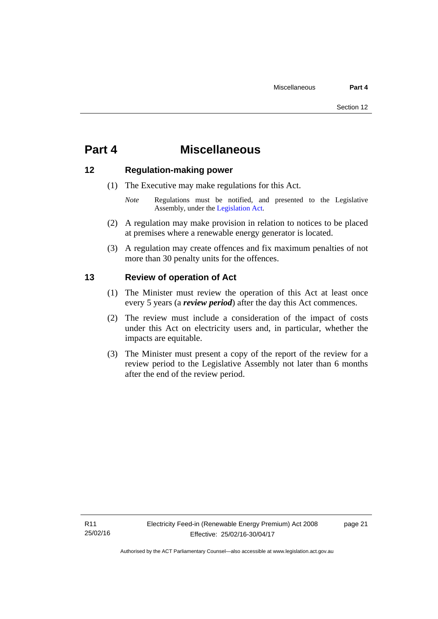# <span id="page-26-0"></span>**Part 4 Miscellaneous**

# <span id="page-26-1"></span>**12 Regulation-making power**

- (1) The Executive may make regulations for this Act.
	- *Note* Regulations must be notified, and presented to the Legislative Assembly, under the [Legislation Act](http://www.legislation.act.gov.au/a/2001-14).
- (2) A regulation may make provision in relation to notices to be placed at premises where a renewable energy generator is located.
- (3) A regulation may create offences and fix maximum penalties of not more than 30 penalty units for the offences.

# <span id="page-26-2"></span>**13 Review of operation of Act**

- (1) The Minister must review the operation of this Act at least once every 5 years (a *review period*) after the day this Act commences.
- (2) The review must include a consideration of the impact of costs under this Act on electricity users and, in particular, whether the impacts are equitable.
- (3) The Minister must present a copy of the report of the review for a review period to the Legislative Assembly not later than 6 months after the end of the review period.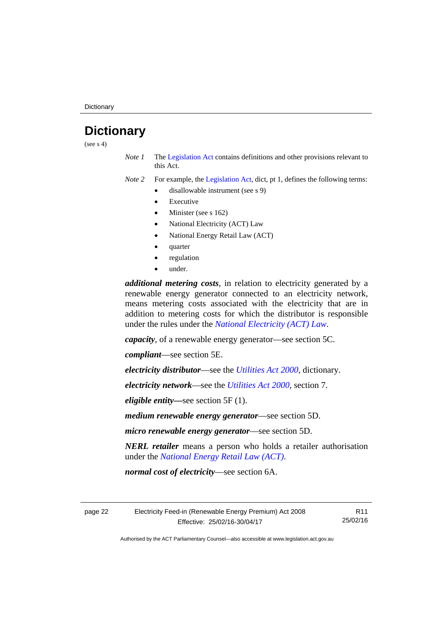# <span id="page-27-0"></span>**Dictionary**

(see  $s$  4)

*Note 1* The [Legislation Act](http://www.legislation.act.gov.au/a/2001-14) contains definitions and other provisions relevant to this Act.

*Note 2* For example, the [Legislation Act,](http://www.legislation.act.gov.au/a/2001-14) dict, pt 1, defines the following terms:

- disallowable instrument (see s 9)
	- Executive
	- Minister (see s 162)
	- National Electricity (ACT) Law
	- National Energy Retail Law (ACT)
	- quarter
	- regulation
	- under.

*additional metering costs*, in relation to electricity generated by a renewable energy generator connected to an electricity network, means metering costs associated with the electricity that are in addition to metering costs for which the distributor is responsible under the rules under the *[National Electricity \(ACT\) Law](http://www.legislation.act.gov.au/a/1997-79/default.asp)*.

*capacity*, of a renewable energy generator—see section 5C.

*compliant*—see section 5E.

*electricity distributor*—see the *[Utilities Act 2000](http://www.legislation.act.gov.au/a/2000-65)*, dictionary.

*electricity network*—see the *[Utilities Act 2000](http://www.legislation.act.gov.au/a/2000-65)*, section 7.

*eligible entity—*see section 5F (1).

*medium renewable energy generator*—see section 5D.

*micro renewable energy generator*—see section 5D.

*NERL retailer* means a person who holds a retailer authorisation under the *[National Energy Retail Law \(ACT\)](http://www.legislation.act.gov.au/a/2012-31/default.asp)*.

*normal cost of electricity*—see section 6A.

page 22 Electricity Feed-in (Renewable Energy Premium) Act 2008 Effective: 25/02/16-30/04/17

R11 25/02/16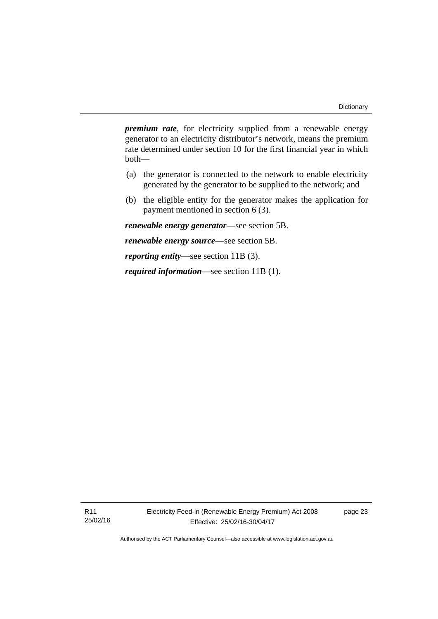*premium rate*, for electricity supplied from a renewable energy generator to an electricity distributor's network, means the premium rate determined under section 10 for the first financial year in which both—

- (a) the generator is connected to the network to enable electricity generated by the generator to be supplied to the network; and
- (b) the eligible entity for the generator makes the application for payment mentioned in section 6 (3).

*renewable energy generator*—see section 5B.

*renewable energy source*—see section 5B.

*reporting entity*—see section 11B (3).

*required information*—see section 11B (1).

R11 25/02/16 Electricity Feed-in (Renewable Energy Premium) Act 2008 Effective: 25/02/16-30/04/17

page 23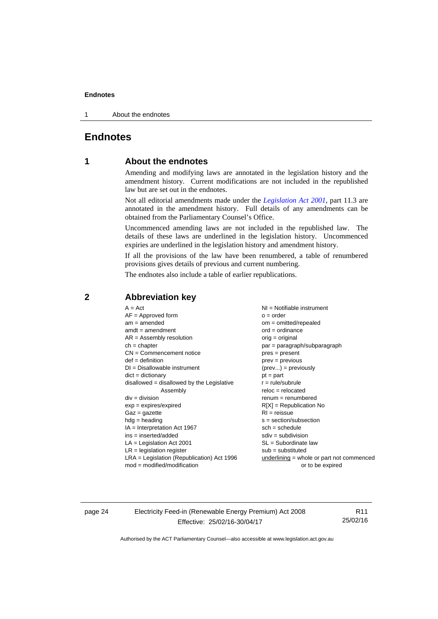1 About the endnotes

# <span id="page-29-0"></span>**Endnotes**

# **1 About the endnotes**

Amending and modifying laws are annotated in the legislation history and the amendment history. Current modifications are not included in the republished law but are set out in the endnotes.

Not all editorial amendments made under the *[Legislation Act 2001](http://www.legislation.act.gov.au/a/2001-14)*, part 11.3 are annotated in the amendment history. Full details of any amendments can be obtained from the Parliamentary Counsel's Office.

Uncommenced amending laws are not included in the republished law. The details of these laws are underlined in the legislation history. Uncommenced expiries are underlined in the legislation history and amendment history.

If all the provisions of the law have been renumbered, a table of renumbered provisions gives details of previous and current numbering.

The endnotes also include a table of earlier republications.

### <span id="page-29-2"></span>**2 Abbreviation key**

page 24 Electricity Feed-in (Renewable Energy Premium) Act 2008 Effective: 25/02/16-30/04/17

R11 25/02/16

<span id="page-29-1"></span>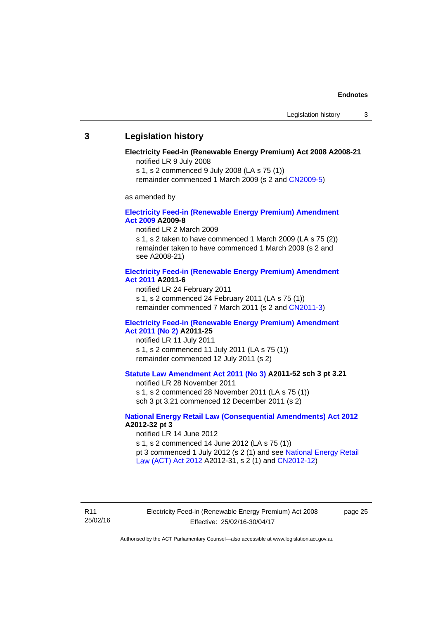### <span id="page-30-0"></span>**3 Legislation history**

#### **Electricity Feed-in (Renewable Energy Premium) Act 2008 A2008-21**  notified LR 9 July 2008

s 1, s 2 commenced 9 July 2008 (LA s 75 (1))

remainder commenced 1 March 2009 (s 2 and [CN2009-5\)](http://www.legislation.act.gov.au/cn/2009-5/default.asp)

as amended by

#### **[Electricity Feed-in \(Renewable Energy Premium\) Amendment](http://www.legislation.act.gov.au/a/2009-8)  [Act 2009](http://www.legislation.act.gov.au/a/2009-8) A2009-8**

notified LR 2 March 2009

s 1, s 2 taken to have commenced 1 March 2009 (LA s 75 (2)) remainder taken to have commenced 1 March 2009 (s 2 and see A2008-21)

#### **[Electricity Feed-in \(Renewable Energy Premium\) Amendment](http://www.legislation.act.gov.au/a/2011-6)  [Act 2011](http://www.legislation.act.gov.au/a/2011-6) A2011-6**

notified LR 24 February 2011 s 1, s 2 commenced 24 February 2011 (LA s 75 (1)) remainder commenced 7 March 2011 (s 2 and [CN2011-3\)](http://www.legislation.act.gov.au/cn/2011-3/default.asp)

#### **[Electricity Feed-in \(Renewable Energy Premium\) Amendment](http://www.legislation.act.gov.au/a/2011-25)  [Act 2011 \(No 2\)](http://www.legislation.act.gov.au/a/2011-25) A2011-25**

notified LR 11 July 2011 s 1, s 2 commenced 11 July 2011 (LA s 75 (1)) remainder commenced 12 July 2011 (s 2)

### **[Statute Law Amendment Act 2011 \(No 3\)](http://www.legislation.act.gov.au/a/2011-52) A2011-52 sch 3 pt 3.21**

notified LR 28 November 2011

s 1, s 2 commenced 28 November 2011 (LA s 75 (1)) sch 3 pt 3.21 commenced 12 December 2011 (s 2)

#### **[National Energy Retail Law \(Consequential Amendments\) Act 2012](http://www.legislation.act.gov.au/a/2012-32) A2012-32 pt 3**

notified LR 14 June 2012 s 1, s 2 commenced 14 June 2012 (LA s 75 (1)) pt 3 commenced 1 July 2012 (s 2 (1) and see [National Energy Retail](http://www.legislation.act.gov.au/a/2012-31)  [Law \(ACT\) Act 2012](http://www.legislation.act.gov.au/a/2012-31) A2012-31, s 2 (1) and [CN2012-12\)](http://www.legislation.act.gov.au/cn/2012-12/default.asp)

R11 25/02/16 Electricity Feed-in (Renewable Energy Premium) Act 2008 Effective: 25/02/16-30/04/17

page 25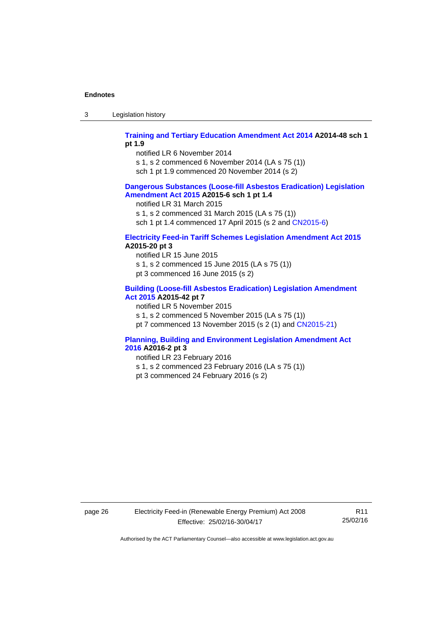3 Legislation history

#### **[Training and Tertiary Education Amendment Act 2014](http://www.legislation.act.gov.au/a/2014-48) A2014-48 sch 1 pt 1.9**

notified LR 6 November 2014

s 1, s 2 commenced 6 November 2014 (LA s 75 (1))

sch 1 pt 1.9 commenced 20 November 2014 (s 2)

#### **[Dangerous Substances \(Loose-fill Asbestos Eradication\) Legislation](http://www.legislation.act.gov.au/a/2015-6/default.asp)  [Amendment Act 2015](http://www.legislation.act.gov.au/a/2015-6/default.asp) A2015-6 sch 1 pt 1.4**

notified LR 31 March 2015

s 1, s 2 commenced 31 March 2015 (LA s 75 (1))

sch 1 pt 1.4 commenced 17 April 2015 (s 2 and [CN2015-6\)](http://www.legislation.act.gov.au/cn/2015-6/default.asp)

### **[Electricity Feed-in Tariff Schemes Legislation Amendment Act 2015](http://www.legislation.act.gov.au/a/2015-20/default.asp) A2015-20 pt 3**

notified LR 15 June 2015 s 1, s 2 commenced 15 June 2015 (LA s 75 (1)) pt 3 commenced 16 June 2015 (s 2)

#### **[Building \(Loose-fill Asbestos Eradication\) Legislation Amendment](http://www.legislation.act.gov.au/a/2015-42/default.asp)  [Act 2015](http://www.legislation.act.gov.au/a/2015-42/default.asp) A2015-42 pt 7**

notified LR 5 November 2015

s 1, s 2 commenced 5 November 2015 (LA s 75 (1))

pt 7 commenced 13 November 2015 (s 2 (1) and [CN2015-21\)](http://www.legislation.act.gov.au/cn/2015-21/default.asp)

### **[Planning, Building and Environment Legislation Amendment Act](http://www.legislation.act.gov.au/a/2016-2/default.asp)  [2016](http://www.legislation.act.gov.au/a/2016-2/default.asp) A2016-2 pt 3**

notified LR 23 February 2016

- s 1, s 2 commenced 23 February 2016 (LA s 75 (1))
- pt 3 commenced 24 February 2016 (s 2)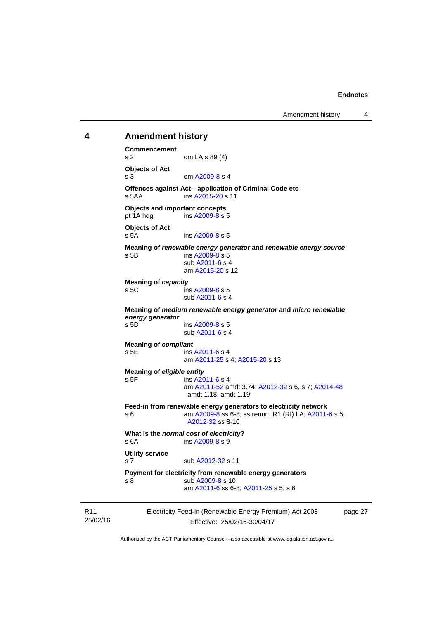# <span id="page-32-0"></span>25/02/16 Electricity Feed-in (Renewable Energy Premium) Act 2008 Effective: 25/02/16-30/04/17 **4 Amendment history Commencement**  s 2 om LA s 89 (4) **Objects of Act**  s 3 om [A2009-8](http://www.legislation.act.gov.au/a/2009-8) s 4 **Offences against Act—application of Criminal Code etc**  s 5AA ins [A2015-20](http://www.legislation.act.gov.au/a/2015-20) s 11 **Objects and important concepts**  pt 1A hdg ins [A2009-8](http://www.legislation.act.gov.au/a/2009-8) s 5 **Objects of Act**  s 5A ins [A2009-8](http://www.legislation.act.gov.au/a/2009-8) s 5 **Meaning of** *renewable energy generator* **and** *renewable energy source* s 5B ins [A2009-8](http://www.legislation.act.gov.au/a/2009-8) s 5 sub [A2011-6](http://www.legislation.act.gov.au/a/2011-6) s 4 am [A2015-20](http://www.legislation.act.gov.au/a/2015-20) s 12 **Meaning of** *capacity* s 5C ins [A2009-8](http://www.legislation.act.gov.au/a/2009-8) s 5 sub [A2011-6](http://www.legislation.act.gov.au/a/2011-6) s 4 **Meaning of** *medium renewable energy generator* **and** *micro renewable energy generator* s 5D ins [A2009-8](http://www.legislation.act.gov.au/a/2009-8) s 5 sub [A2011-6](http://www.legislation.act.gov.au/a/2011-6) s 4 **Meaning of** *compliant* s 5E ins [A2011-6](http://www.legislation.act.gov.au/a/2011-6) s 4 am [A2011-25](http://www.legislation.act.gov.au/a/2011-25) s 4; [A2015-20](http://www.legislation.act.gov.au/a/2015-20) s 13 **Meaning of** *eligible entity* s 5F ins [A2011-6](http://www.legislation.act.gov.au/a/2011-6) s 4 am [A2011-52](http://www.legislation.act.gov.au/a/2011-52) amdt 3.74; [A2012-32](http://www.legislation.act.gov.au/a/2012-32) s 6, s 7; [A2014-48](http://www.legislation.act.gov.au/a/2014-48) amdt 1.18, amdt 1.19 **Feed-in from renewable energy generators to electricity network**  s 6 **am A2009-8** ss 6-8; ss renum R1 (RI) LA; [A2011-6](http://www.legislation.act.gov.au/a/2011-6) s 5; [A2012-32](http://www.legislation.act.gov.au/a/2012-32) ss 8-10 **What is the** *normal cost of electricity***?**  s 6A ins [A2009-8](http://www.legislation.act.gov.au/a/2009-8) s 9 **Utility service**  s 7 sub [A2012-32](http://www.legislation.act.gov.au/a/2012-32) s 11 **Payment for electricity from renewable energy generators**  s 8 sub [A2009-8](http://www.legislation.act.gov.au/a/2009-8) s 10 am [A2011-6](http://www.legislation.act.gov.au/a/2011-6) ss 6-8; [A2011-25](http://www.legislation.act.gov.au/a/2011-25) s 5, s 6

page 27

Authorised by the ACT Parliamentary Counsel—also accessible at www.legislation.act.gov.au

R11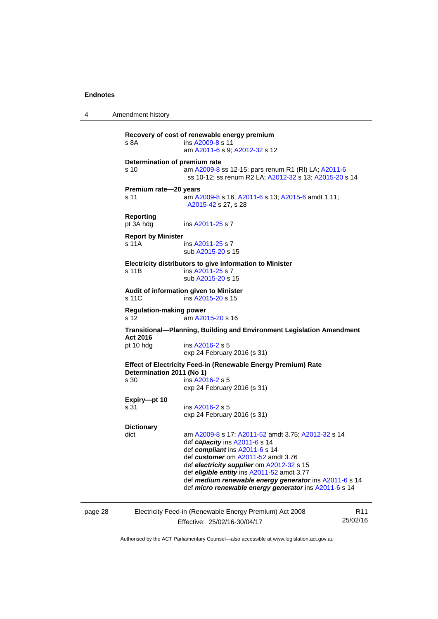4 Amendment history **Recovery of cost of renewable energy premium**  s 8A **ins [A2009-8](http://www.legislation.act.gov.au/a/2009-8) s** 11 am [A2011-6](http://www.legislation.act.gov.au/a/2011-6) s 9; [A2012-32](http://www.legislation.act.gov.au/a/2012-32) s 12 **Determination of premium rate**  s 10 am [A2009-8](http://www.legislation.act.gov.au/a/2009-8) ss 12-15; pars renum R1 (RI) LA; [A2011-6](http://www.legislation.act.gov.au/a/2011-6) ss 10-12; ss renum R2 LA; [A2012-32](http://www.legislation.act.gov.au/a/2012-32) s 13; [A2015-20](http://www.legislation.act.gov.au/a/2015-20) s 14 **Premium rate—20 years**  s 11 am [A2009-8](http://www.legislation.act.gov.au/a/2009-8) s 16; [A2011-6](http://www.legislation.act.gov.au/a/2011-6) s 13; [A2015-6](http://www.legislation.act.gov.au/a/2015-6) amdt 1.11; [A2015-42](http://www.legislation.act.gov.au/a/2015-42) s 27, s 28 **Reporting**  pt 3A hdg ins [A2011-25](http://www.legislation.act.gov.au/a/2011-25) s 7 **Report by Minister**  s 11A ins [A2011-25](http://www.legislation.act.gov.au/a/2011-25) s 7 sub [A2015-20](http://www.legislation.act.gov.au/a/2015-20) s 15 **Electricity distributors to give information to Minister**  s 11B ins [A2011-25](http://www.legislation.act.gov.au/a/2011-25) s 7 sub [A2015-20](http://www.legislation.act.gov.au/a/2015-20) s 15 **Audit of information given to Minister**  s 11C ins [A2015-20](http://www.legislation.act.gov.au/a/2015-20) s 15 **Regulation-making power**  s 12 am [A2015-20](http://www.legislation.act.gov.au/a/2015-20) s 16 **Transitional—Planning, Building and Environment Legislation Amendment Act 2016**  pt 10 hdg ins [A2016-2](http://www.legislation.act.gov.au/a/2016-2/default.asp) s 5 exp 24 February 2016 (s 31) **Effect of Electricity Feed-in (Renewable Energy Premium) Rate Determination 2011 (No 1)**  s 30 ins [A2016-2](http://www.legislation.act.gov.au/a/2016-2/default.asp) s 5 exp 24 February 2016 (s 31) **Expiry—pt 10**  ins [A2016-2](http://www.legislation.act.gov.au/a/2016-2/default.asp) s 5 exp 24 February 2016 (s 31) **Dictionary**  dict am [A2009-8](http://www.legislation.act.gov.au/a/2009-8) s 17; [A2011-52](http://www.legislation.act.gov.au/a/2011-52) amdt 3.75; [A2012-32](http://www.legislation.act.gov.au/a/2012-32) s 14 def *capacity* ins [A2011-6](http://www.legislation.act.gov.au/a/2011-6) s 14 def *compliant* ins [A2011-6](http://www.legislation.act.gov.au/a/2011-6) s 14 def *customer* om [A2011-52](http://www.legislation.act.gov.au/a/2011-52) amdt 3.76 def *electricity supplier* om [A2012-32](http://www.legislation.act.gov.au/a/2012-32) s 15 def *eligible entity* ins [A2011-52](http://www.legislation.act.gov.au/a/2011-52) amdt 3.77 def *medium renewable energy generator* ins [A2011-6](http://www.legislation.act.gov.au/a/2011-6) s 14 def *micro renewable energy generator* ins [A2011-6](http://www.legislation.act.gov.au/a/2011-6) s 14

| page |  |
|------|--|
|------|--|

page 28 Electricity Feed-in (Renewable Energy Premium) Act 2008 Effective: 25/02/16-30/04/17

R11 25/02/16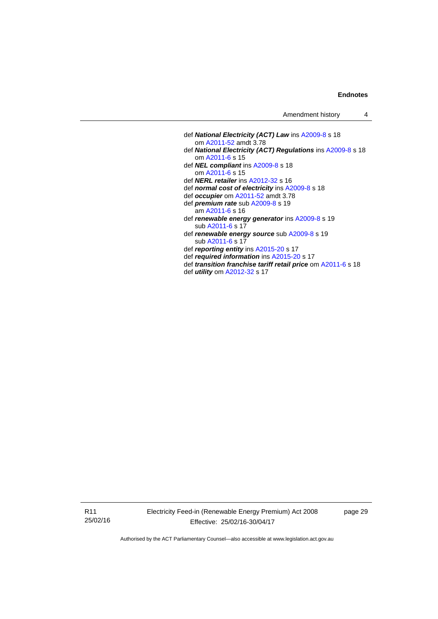| Amendment history |  |
|-------------------|--|
|-------------------|--|

- def *National Electricity (ACT) Law* ins [A2009-8](http://www.legislation.act.gov.au/a/2009-8) s 18 om [A2011-52](http://www.legislation.act.gov.au/a/2011-52) amdt 3.78 def *National Electricity (ACT) Regulations* ins [A2009-8](http://www.legislation.act.gov.au/a/2009-8) s 18 om [A2011-6](http://www.legislation.act.gov.au/a/2011-6) s 15 def *NEL compliant* ins [A2009-8](http://www.legislation.act.gov.au/a/2009-8) s 18 om [A2011-6](http://www.legislation.act.gov.au/a/2011-6) s 15 def *NERL retailer* ins [A2012-32](http://www.legislation.act.gov.au/a/2012-32) s 16 def *normal cost of electricity* ins [A2009-8](http://www.legislation.act.gov.au/a/2009-8) s 18 def *occupier* om [A2011-52](http://www.legislation.act.gov.au/a/2011-52) amdt 3.78 def *premium rate* sub [A2009-8](http://www.legislation.act.gov.au/a/2009-8) s 19 am [A2011-6](http://www.legislation.act.gov.au/a/2011-6) s 16 def *renewable energy generator* ins [A2009-8](http://www.legislation.act.gov.au/a/2009-8) s 19 sub [A2011-6](http://www.legislation.act.gov.au/a/2011-6) s 17 def *renewable energy source* sub [A2009-8](http://www.legislation.act.gov.au/a/2009-8) s 19 sub [A2011-6](http://www.legislation.act.gov.au/a/2011-6) s 17 def *reporting entity* ins [A2015-20](http://www.legislation.act.gov.au/a/2015-20) s 17
- def *required information* ins [A2015-20](http://www.legislation.act.gov.au/a/2015-20) s 17
- 
- def *transition franchise tariff retail price* om [A2011-6](http://www.legislation.act.gov.au/a/2011-6) s 18 def *utility* om [A2012-32](http://www.legislation.act.gov.au/a/2012-32) s 17

R11 25/02/16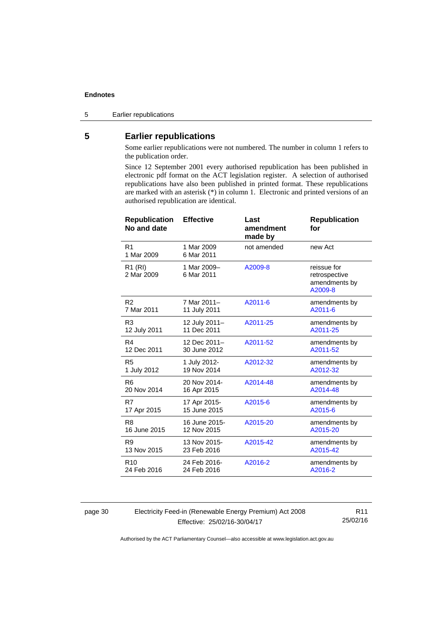5 Earlier republications

# <span id="page-35-0"></span>**5 Earlier republications**

Some earlier republications were not numbered. The number in column 1 refers to the publication order.

Since 12 September 2001 every authorised republication has been published in electronic pdf format on the ACT legislation register. A selection of authorised republications have also been published in printed format. These republications are marked with an asterisk (\*) in column 1. Electronic and printed versions of an authorised republication are identical.

| <b>Republication</b><br>No and date | <b>Effective</b>          | Last<br>amendment<br>made by | <b>Republication</b><br>for                              |
|-------------------------------------|---------------------------|------------------------------|----------------------------------------------------------|
| R <sub>1</sub><br>1 Mar 2009        | 1 Mar 2009<br>6 Mar 2011  | not amended                  | new Act                                                  |
| R <sub>1</sub> (RI)<br>2 Mar 2009   | 1 Mar 2009-<br>6 Mar 2011 | A2009-8                      | reissue for<br>retrospective<br>amendments by<br>A2009-8 |
| R <sub>2</sub>                      | 7 Mar 2011-               | A2011-6                      | amendments by                                            |
| 7 Mar 2011                          | 11 July 2011              |                              | A2011-6                                                  |
| R <sub>3</sub>                      | 12 July 2011-             | A2011-25                     | amendments by                                            |
| 12 July 2011                        | 11 Dec 2011               |                              | A2011-25                                                 |
| R4                                  | 12 Dec 2011-              | A2011-52                     | amendments by                                            |
| 12 Dec 2011                         | 30 June 2012              |                              | A2011-52                                                 |
| R <sub>5</sub>                      | 1 July 2012-              | A2012-32                     | amendments by                                            |
| 1 July 2012                         | 19 Nov 2014               |                              | A2012-32                                                 |
| R <sub>6</sub>                      | 20 Nov 2014-              | A2014-48                     | amendments by                                            |
| 20 Nov 2014                         | 16 Apr 2015               |                              | A2014-48                                                 |
| R7                                  | 17 Apr 2015-              | A2015-6                      | amendments by                                            |
| 17 Apr 2015                         | 15 June 2015              |                              | A2015-6                                                  |
| R <sub>8</sub>                      | 16 June 2015-             | A2015-20                     | amendments by                                            |
| 16 June 2015                        | 12 Nov 2015               |                              | A2015-20                                                 |
| R <sub>9</sub>                      | 13 Nov 2015-              | A2015-42                     | amendments by                                            |
| 13 Nov 2015                         | 23 Feb 2016               |                              | A2015-42                                                 |
| R <sub>10</sub>                     | 24 Feb 2016-              | A2016-2                      | amendments by                                            |
| 24 Feb 2016                         | 24 Feb 2016               |                              | A2016-2                                                  |

page 30 Electricity Feed-in (Renewable Energy Premium) Act 2008 Effective: 25/02/16-30/04/17

R11 25/02/16